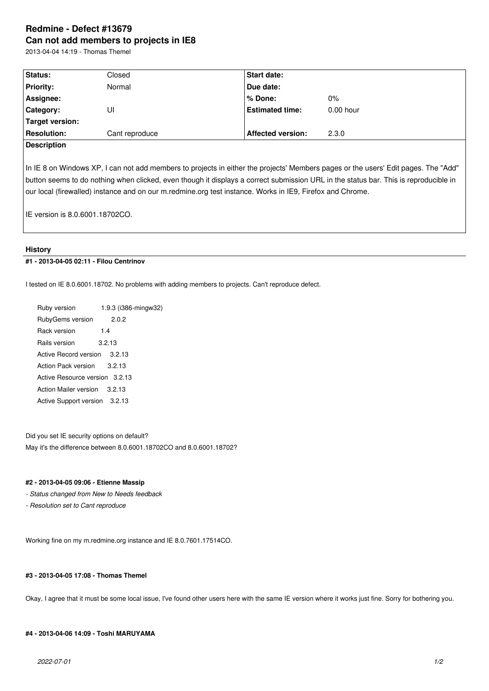# **Redmine - Defect #13679 Can not add members to projects in IE8**

2013-04-04 14:19 - Thomas Themel

| Status:            | Closed         | <b>Start date:</b>       |             |
|--------------------|----------------|--------------------------|-------------|
| <b>Priority:</b>   | Normal         | Due date:                |             |
| Assignee:          |                | l% Done:                 | $0\%$       |
| <b>Category:</b>   | UI             | <b>Estimated time:</b>   | $0.00$ hour |
| Target version:    |                |                          |             |
| <b>Resolution:</b> | Cant reproduce | <b>Affected version:</b> | 2.3.0       |

#### **Description**

In IE 8 on Windows XP, I can not add members to projects in either the projects' Members pages or the users' Edit pages. The "Add" button seems to do nothing when clicked, even though it displays a correct submission URL in the status bar. This is reproducible in our local (firewalled) instance and on our m.redmine.org test instance. Works in IE9, Firefox and Chrome.

IE version is 8.0.6001.18702CO.

### **History**

#### **#1 - 2013-04-05 02:11 - Filou Centrinov**

I tested on IE 8.0.6001.18702. No problems with adding members to projects. Can't reproduce defect.

Ruby version 1.9.3 (i386-mingw32) RubyGems version 2.0.2 Rack version 1.4 Rails version 3.2.13 Active Record version 3.2.13 Action Pack version 3.2.13 Active Resource version 3.2.13 Action Mailer version 3.2.13 Active Support version 3.2.13

Did you set IE security options on default? May it's the difference between 8.0.6001.18702CO and 8.0.6001.18702?

#### **#2 - 2013-04-05 09:06 - Etienne Massip**

- *Status changed from New to Needs feedback*
- *Resolution set to Cant reproduce*

Working fine on my m.redmine.org instance and IE 8.0.7601.17514CO.

#### **#3 - 2013-04-05 17:08 - Thomas Themel**

Okay, I agree that it must be some local issue, I've found other users here with the same IE version where it works just fine. Sorry for bothering you.

## **#4 - 2013-04-06 14:09 - Toshi MARUYAMA**